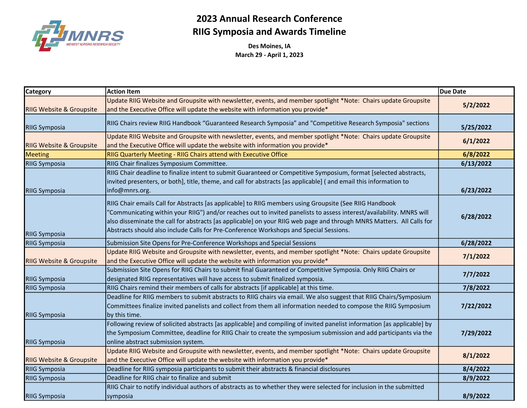

## 2023 Annual Research Conference RIIG Symposia and Awards Timeline

Des Moines, IA March 29 - April 1, 2023

| <b>Category</b>                     | <b>Action Item</b>                                                                                                                                                                                                                                                                                                                                                                                                                                 | <b>Due Date</b> |
|-------------------------------------|----------------------------------------------------------------------------------------------------------------------------------------------------------------------------------------------------------------------------------------------------------------------------------------------------------------------------------------------------------------------------------------------------------------------------------------------------|-----------------|
|                                     | Update RIIG Website and Groupsite with newsletter, events, and member spotlight *Note: Chairs update Groupsite                                                                                                                                                                                                                                                                                                                                     | 5/2/2022        |
| <b>RIIG Website &amp; Groupsite</b> | and the Executive Office will update the website with information you provide*                                                                                                                                                                                                                                                                                                                                                                     |                 |
| <b>RIIG Symposia</b>                | RIIG Chairs review RIIG Handbook "Guaranteed Research Symposia" and "Competitive Research Symposia" sections                                                                                                                                                                                                                                                                                                                                       | 5/25/2022       |
| <b>RIIG Website &amp; Groupsite</b> | Update RIIG Website and Groupsite with newsletter, events, and member spotlight *Note: Chairs update Groupsite<br>and the Executive Office will update the website with information you provide*                                                                                                                                                                                                                                                   | 6/1/2022        |
| <b>Meeting</b>                      | RIIG Quarterly Meeting - RIIG Chairs attend with Executive Office                                                                                                                                                                                                                                                                                                                                                                                  | 6/8/2022        |
| <b>RIIG Symposia</b>                | RIIG Chair finalizes Symposium Committee.                                                                                                                                                                                                                                                                                                                                                                                                          | 6/13/2022       |
| <b>RIIG Symposia</b>                | RIIG Chair deadline to finalize intent to submit Guaranteed or Competitive Symposium, format [selected abstracts,<br>invited presenters, or both], title, theme, and call for abstracts [as applicable] (and email this information to<br>info@mnrs.org.                                                                                                                                                                                           | 6/23/2022       |
| <b>RIIG Symposia</b>                | RIIG Chair emails Call for Abstracts [as applicable] to RIIG members using Groupsite (See RIIG Handbook<br>'Communicating within your RIIG") and/or reaches out to invited panelists to assess interest/availability. MNRS will<br>also disseminate the call for abstracts [as applicable] on your RIIG web page and through MNRS Matters. All Calls for<br>Abstracts should also include Calls for Pre-Conference Workshops and Special Sessions. | 6/28/2022       |
| <b>RIIG Symposia</b>                | Submission Site Opens for Pre-Conference Workshops and Special Sessions                                                                                                                                                                                                                                                                                                                                                                            | 6/28/2022       |
| <b>RIIG Website &amp; Groupsite</b> | Update RIIG Website and Groupsite with newsletter, events, and member spotlight *Note: Chairs update Groupsite<br>and the Executive Office will update the website with information you provide*                                                                                                                                                                                                                                                   | 7/1/2022        |
| <b>RIIG Symposia</b>                | Submission Site Opens for RIIG Chairs to submit final Guaranteed or Competitive Symposia. Only RIIG Chairs or<br>designated RIIG representatives will have access to submit finalized symposia.                                                                                                                                                                                                                                                    | 7/7/2022        |
| <b>RIIG Symposia</b>                | RIIG Chairs remind their members of calls for abstracts [if applicable] at this time.                                                                                                                                                                                                                                                                                                                                                              | 7/8/2022        |
| <b>RIIG Symposia</b>                | Deadline for RIIG members to submit abstracts to RIIG chairs via email. We also suggest that RIIG Chairs/Symposium<br>Committees finalize invited panelists and collect from them all information needed to compose the RIIG Symposium<br>by this time.                                                                                                                                                                                            | 7/22/2022       |
| <b>RIIG Symposia</b>                | Following review of solicited abstracts [as applicable] and compiling of invited panelist information [as applicable] by<br>the Symposium Committee, deadline for RIIG Chair to create the symposium submission and add participants via the<br>online abstract submission system.                                                                                                                                                                 | 7/29/2022       |
| <b>RIIG Website &amp; Groupsite</b> | Update RIIG Website and Groupsite with newsletter, events, and member spotlight *Note: Chairs update Groupsite<br>and the Executive Office will update the website with information you provide*                                                                                                                                                                                                                                                   | 8/1/2022        |
| <b>RIIG Symposia</b>                | Deadline for RIIG symposia participants to submit their abstracts & financial disclosures                                                                                                                                                                                                                                                                                                                                                          | 8/4/2022        |
| <b>RIIG Symposia</b>                | Deadline for RIIG chair to finalize and submit                                                                                                                                                                                                                                                                                                                                                                                                     | 8/9/2022        |
| <b>RIIG Symposia</b>                | RIIG Chair to notify individual authors of abstracts as to whether they were selected for inclusion in the submitted<br>symposia                                                                                                                                                                                                                                                                                                                   | 8/9/2022        |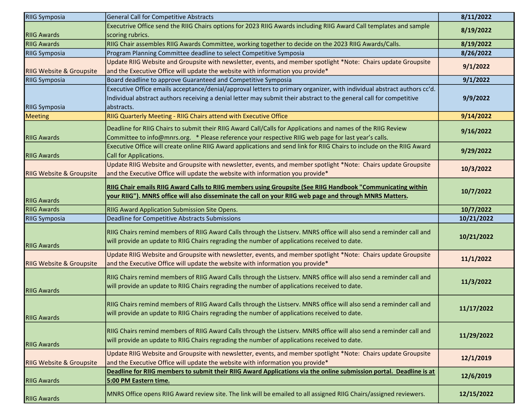| <b>RIIG Symposia</b>                |                                                                                                                                                                                                                     |            |
|-------------------------------------|---------------------------------------------------------------------------------------------------------------------------------------------------------------------------------------------------------------------|------------|
|                                     | General Call for Competitive Abstracts                                                                                                                                                                              | 8/11/2022  |
|                                     | Executrive Office send the RIIG Chairs options for 2023 RIIG Awards including RIIG Award Call templates and sample                                                                                                  | 8/19/2022  |
| <b>RIIG Awards</b>                  | scoring rubrics.                                                                                                                                                                                                    |            |
| <b>RIIG Awards</b>                  | RIIG Chair assembles RIIG Awards Committee, working together to decide on the 2023 RIIG Awards/Calls.                                                                                                               | 8/19/2022  |
| <b>RIIG Symposia</b>                | Program Planning Committee deadline to select Competitive Symposia                                                                                                                                                  | 8/26/2022  |
|                                     | Update RIIG Website and Groupsite with newsletter, events, and member spotlight *Note: Chairs update Groupsite                                                                                                      | 9/1/2022   |
| <b>RIIG Website &amp; Groupsite</b> | and the Executive Office will update the website with information you provide*                                                                                                                                      |            |
| <b>RIIG Symposia</b>                | Board deadline to approve Guaranteed and Competitive Symposia                                                                                                                                                       | 9/1/2022   |
|                                     | Executive Office emails acceptance/denial/approval letters to primary organizer, with individual abstract authors cc'd.                                                                                             |            |
|                                     | Individual abstract authors receiving a denial letter may submit their abstract to the general call for competitive                                                                                                 | 9/9/2022   |
| <b>RIIG Symposia</b>                | abstracts.                                                                                                                                                                                                          |            |
| <b>Meeting</b>                      | RIIG Quarterly Meeting - RIIG Chairs attend with Executive Office                                                                                                                                                   | 9/14/2022  |
|                                     | Deadline for RIIG Chairs to submit their RIIG Award Call/Calls for Applications and names of the RIIG Review                                                                                                        |            |
| <b>RIIG Awards</b>                  | Committee to info@mnrs.org. * Please reference your respective RIIG web page for last year's calls.                                                                                                                 | 9/16/2022  |
|                                     | Executive Office will create online RIIG Award applications and send link for RIIG Chairs to include on the RIIG Award                                                                                              |            |
| <b>RIIG Awards</b>                  | Call for Applications.                                                                                                                                                                                              | 9/29/2022  |
|                                     | Update RIIG Website and Groupsite with newsletter, events, and member spotlight *Note: Chairs update Groupsite                                                                                                      |            |
| <b>RIIG Website &amp; Groupsite</b> | and the Executive Office will update the website with information you provide*                                                                                                                                      | 10/3/2022  |
|                                     |                                                                                                                                                                                                                     |            |
|                                     | <b>RIIG Chair emails RIIG Award Calls to RIIG members using Groupsite (See RIIG Handbook "Communicating within</b>                                                                                                  | 10/7/2022  |
| <b>RIIG Awards</b>                  | your RIIG"). MNRS office will also disseminate the call on your RIIG web page and through MNRS Matters.                                                                                                             |            |
| <b>RIIG Awards</b>                  | <b>RIIG Award Application Submission Site Opens.</b>                                                                                                                                                                | 10/7/2022  |
| <b>RIIG Symposia</b>                | Deadline for Competitive Abstracts Submissions                                                                                                                                                                      |            |
|                                     |                                                                                                                                                                                                                     | 10/21/2022 |
|                                     |                                                                                                                                                                                                                     |            |
|                                     | RIIG Chairs remind members of RIIG Award Calls through the Listserv. MNRS office will also send a reminder call and                                                                                                 | 10/21/2022 |
| <b>RIIG Awards</b>                  | will provide an update to RIIG Chairs regrading the number of applications received to date.                                                                                                                        |            |
|                                     | Update RIIG Website and Groupsite with newsletter, events, and member spotlight *Note: Chairs update Groupsite                                                                                                      |            |
| <b>RIIG Website &amp; Groupsite</b> | and the Executive Office will update the website with information you provide*                                                                                                                                      | 11/1/2022  |
|                                     |                                                                                                                                                                                                                     |            |
|                                     | RIIG Chairs remind members of RIIG Award Calls through the Listserv. MNRS office will also send a reminder call and                                                                                                 | 11/3/2022  |
| <b>RIIG Awards</b>                  | will provide an update to RIIG Chairs regrading the number of applications received to date.                                                                                                                        |            |
|                                     |                                                                                                                                                                                                                     |            |
|                                     | RIIG Chairs remind members of RIIG Award Calls through the Listserv. MNRS office will also send a reminder call and<br>will provide an update to RIIG Chairs regrading the number of applications received to date. | 11/17/2022 |
| <b>RIIG Awards</b>                  |                                                                                                                                                                                                                     |            |
|                                     | RIIG Chairs remind members of RIIG Award Calls through the Listserv. MNRS office will also send a reminder call and                                                                                                 |            |
|                                     | will provide an update to RIIG Chairs regrading the number of applications received to date.                                                                                                                        | 11/29/2022 |
| <b>RIIG Awards</b>                  |                                                                                                                                                                                                                     |            |
|                                     | Update RIIG Website and Groupsite with newsletter, events, and member spotlight *Note: Chairs update Groupsite                                                                                                      | 12/1/2019  |
| <b>RIIG Website &amp; Groupsite</b> | and the Executive Office will update the website with information you provide*                                                                                                                                      |            |
|                                     | Deadline for RIIG members to submit their RIIG Award Applications via the online submission portal. Deadline is at                                                                                                  | 12/6/2019  |
| <b>RIIG Awards</b>                  | 5:00 PM Eastern time.<br>MNRS Office opens RIIG Award review site. The link will be emailed to all assigned RIIG Chairs/assigned reviewers.                                                                         | 12/15/2022 |